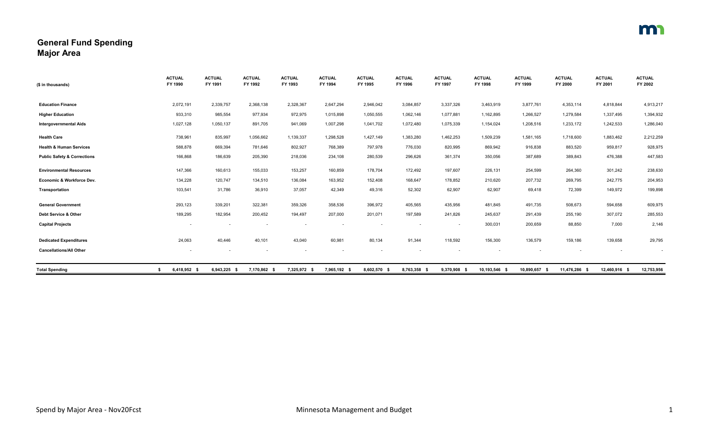## **General Fund Spending Major Area**

| (\$ in thousands)                      | <b>ACTUAL</b><br>FY 1990 | <b>ACTUAL</b><br>FY 1991 | <b>ACTUAL</b><br>FY 1992 | <b>ACTUAL</b><br>FY 1993 | <b>ACTUAL</b><br>FY 1994 | <b>ACTUAL</b><br>FY 1995 | <b>ACTUAL</b><br>FY 1996 | <b>ACTUAL</b><br>FY 1997 | <b>ACTUAL</b><br>FY 1998 | <b>ACTUAL</b><br>FY 1999 | <b>ACTUAL</b><br>FY 2000 | <b>ACTUAL</b><br>FY 2001 | <b>ACTUAL</b><br>FY 2002 |
|----------------------------------------|--------------------------|--------------------------|--------------------------|--------------------------|--------------------------|--------------------------|--------------------------|--------------------------|--------------------------|--------------------------|--------------------------|--------------------------|--------------------------|
|                                        |                          |                          |                          |                          |                          |                          |                          |                          |                          |                          |                          |                          |                          |
| <b>Education Finance</b>               | 2,072,191                | 2,339,757                | 2,368,138                | 2,328,367                | 2,647,294                | 2,946,042                | 3,084,857                | 3,337,326                | 3,463,919                | 3,877,761                | 4,353,114                | 4,818,844                | 4,913,217                |
| <b>Higher Education</b>                | 933,310                  | 985,554                  | 977,934                  | 972,975                  | 1,015,898                | 1,050,555                | 1,062,146                | 1,077,881                | 1,162,895                | 1,266,527                | 1,279,584                | 1,337,495                | 1,394,932                |
| <b>Intergovernmental Aids</b>          | 1,027,128                | 1,050,137                | 891,705                  | 941,069                  | 1,007,298                | 1,041,702                | 1,072,480                | 1,075,339                | 1,154,024                | 1,208,516                | 1,233,172                | 1,242,533                | 1,286,040                |
| <b>Health Care</b>                     | 738,961                  | 835,997                  | 1,056,662                | 1,139,337                | 1,298,528                | 1,427,149                | 1,383,280                | 1,462,253                | 1,509,239                | 1,581,165                | 1,718,600                | 1,883,462                | 2,212,259                |
| <b>Health &amp; Human Services</b>     | 588,878                  | 669,394                  | 781,646                  | 802,927                  | 768,389                  | 797,978                  | 776,030                  | 820,995                  | 869,942                  | 916,838                  | 883,520                  | 959,817                  | 928,975                  |
| <b>Public Safety &amp; Corrections</b> | 166,868                  | 186,639                  | 205,390                  | 218,036                  | 234,108                  | 280,539                  | 296,626                  | 361,374                  | 350,056                  | 387,689                  | 389,843                  | 476,388                  | 447,583                  |
| <b>Environmental Resources</b>         | 147,366                  | 160,613                  | 155,033                  | 153,257                  | 160,859                  | 178,704                  | 172,492                  | 197,607                  | 226,131                  | 254,599                  | 264,360                  | 301,242                  | 238,630                  |
| Economic & Workforce Dev.              | 134,228                  | 120,747                  | 134,510                  | 136,084                  | 163,952                  | 152,408                  | 168,647                  | 178,852                  | 210,620                  | 207,732                  | 269,795                  | 242,775                  | 204,953                  |
| Transportation                         | 103,541                  | 31,786                   | 36,910                   | 37,057                   | 42,349                   | 49,316                   | 52,302                   | 62,907                   | 62,907                   | 69,418                   | 72,399                   | 149,972                  | 199,898                  |
| <b>General Government</b>              | 293,123                  | 339,201                  | 322,381                  | 359,326                  | 358,536                  | 396,972                  | 405,565                  | 435,956                  | 481,845                  | 491,735                  | 508,673                  | 594,658                  | 609,975                  |
| Debt Service & Other                   | 189,295                  | 182,954                  | 200,452                  | 194,497                  | 207,000                  | 201,071                  | 197,589                  | 241,826                  | 245,637                  | 291,439                  | 255,190                  | 307,072                  | 285,553                  |
| <b>Capital Projects</b>                | $\overline{\phantom{a}}$ |                          | $\overline{\phantom{a}}$ | $\sim$                   | $\overline{\phantom{a}}$ |                          | $\overline{\phantom{a}}$ |                          | 300,031                  | 200,659                  | 88,850                   | 7,000                    | 2,146                    |
| <b>Dedicated Expenditures</b>          | 24,063                   | 40,446                   | 40,101                   | 43,040                   | 60,981                   | 80,134                   | 91,344                   | 118,592                  | 156,300                  | 136,579                  | 159,186                  | 139,658                  | 29,795                   |
| <b>Cancellations/All Other</b>         | $\overline{\phantom{a}}$ |                          |                          |                          |                          |                          |                          |                          |                          |                          |                          | $\overline{\phantom{a}}$ |                          |
| <b>Total Spending</b>                  | 6,418,952 \$             | 6,943,225 \$             | 7,170,862 \$             | 7,325,972 \$             | 7,965,192 \$             | 8,602,570 \$             | 8,763,358 \$             | 9,370,908 \$             | 10,193,546 \$            | 10.890.657 \$            | 11,476,286 \$            | 12,460,916 \$            | 12,753,956               |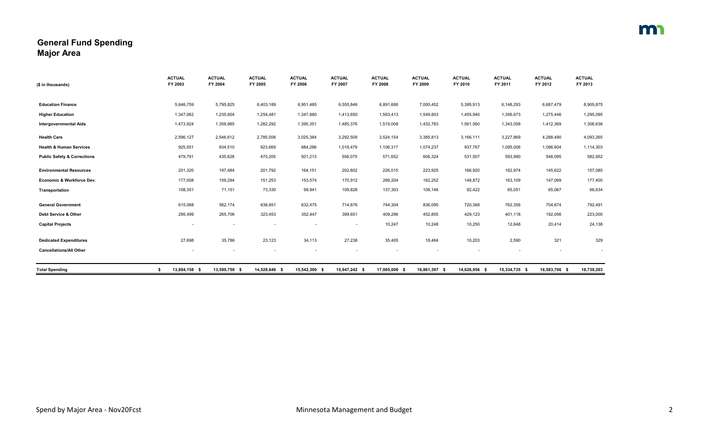## **General Fund Spending Major Area**

| (\$ in thousands)                      | <b>ACTUAL</b><br>FY 2003 | <b>ACTUAL</b><br>FY 2004 | <b>ACTUAL</b><br>FY 2005 | <b>ACTUAL</b><br>FY 2006 | <b>ACTUAL</b><br>FY 2007 | <b>ACTUAL</b><br>FY 2008 | <b>ACTUAL</b><br>FY 2009 | <b>ACTUAL</b><br>FY 2010 | <b>ACTUAL</b><br>FY 2011 | <b>ACTUAL</b><br>FY 2012 | <b>ACTUAL</b><br>FY 2013 |
|----------------------------------------|--------------------------|--------------------------|--------------------------|--------------------------|--------------------------|--------------------------|--------------------------|--------------------------|--------------------------|--------------------------|--------------------------|
|                                        |                          |                          |                          |                          |                          |                          |                          |                          |                          |                          |                          |
| <b>Education Finance</b>               | 5,646,759                | 5,795,825                | 6,403,189                | 6,951,485                | 6,555,846                | 6,891,690                | 7,000,452                | 5,395,913                | 6,148,293                | 6,687,479                | 8,905,875                |
| <b>Higher Education</b>                | 1,347,062                | 1,235,604                | 1,254,481                | 1,347,880                | 1,413,650                | 1,563,413                | 1,549,803                | 1,455,940                | 1,356,673                | 1,275,446                | 1,295,095                |
| <b>Intergovernmental Aids</b>          | 1,473,924                | 1,359,985                | 1,282,292                | 1,395,351                | 1,485,376                | 1,519,008                | 1,432,783                | 1,561,560                | 1,343,058                | 1,412,369                | 1,306,636                |
| <b>Health Care</b>                     | 2,596,127                | 2,546,612                | 2,785,008                | 3,025,384                | 3,292,509                | 3,524,154                | 3,385,813                | 3,166,111                | 3,227,869                | 4,288,490                | 4,093,265                |
| <b>Health &amp; Human Services</b>     | 925,551                  | 934,510                  | 923,669                  | 884,286                  | 1,018,479                | 1,106,317                | 1,074,237                | 937,767                  | 1,095,006                | 1,096,604                | 1,114,303                |
| <b>Public Safety &amp; Corrections</b> | 479,791                  | 435,628                  | 470,205                  | 501,213                  | 556,075                  | 571,652                  | 606,324                  | 531,507                  | 593,990                  | 548,095                  | 582,952                  |
| <b>Environmental Resources</b>         | 201,320                  | 197,484                  | 201,792                  | 164,151                  | 202,802                  | 226,015                  | 223,925                  | 166,920                  | 162,974                  | 145,622                  | 157,085                  |
| Economic & Workforce Dev.              | 177,008                  | 159,294                  | 151,253                  | 153,574                  | 170,912                  | 266,204                  | 162,252                  | 148,872                  | 163,109                  | 147,069                  | 177,400                  |
| Transportation                         | 108,351                  | 71,151                   | 73,330                   | 99,941                   | 109,828                  | 137,303                  | 108,146                  | 92,422                   | 65,051                   | 65,067                   | 66,634                   |
| <b>General Government</b>              | 615,068                  | 562,174                  | 636,851                  | 632,475                  | 714,876                  | 744,304                  | 836,095                  | 720,368                  | 762,356                  | 704,674                  | 792,491                  |
| Debt Service & Other                   | 295,499                  | 265,706                  | 323,453                  | 352,447                  | 399,651                  | 409,296                  | 452,855                  | 429,123                  | 401,118                  | 192,056                  | 223,000                  |
| <b>Capital Projects</b>                |                          |                          |                          |                          |                          | 10,247                   | 10,248                   | 10,250                   | 12,648                   | 20,414                   | 24,138                   |
| <b>Dedicated Expenditures</b>          | 27,698                   | 35,786                   | 23,123                   | 34,113                   | 27,238                   | 35,405                   | 18,464                   | 10,203                   | 2,590                    | 321                      | 329                      |
| <b>Cancellations/All Other</b>         |                          |                          | $\blacksquare$           |                          |                          | $\sim$                   |                          |                          | ٠                        |                          | $\sim$                   |
| <b>Total Spending</b>                  | 13,894,158 \$<br>\$      | 13,599,759 \$            | 14,528,646 \$            | 15,542,300 \$            | 15,947,242 \$            | 17,005,008 \$            | 16,861,397 \$            | 14,626,956 \$            | 15,334,735 \$            | 16,583,706 \$            | 18,739,203               |